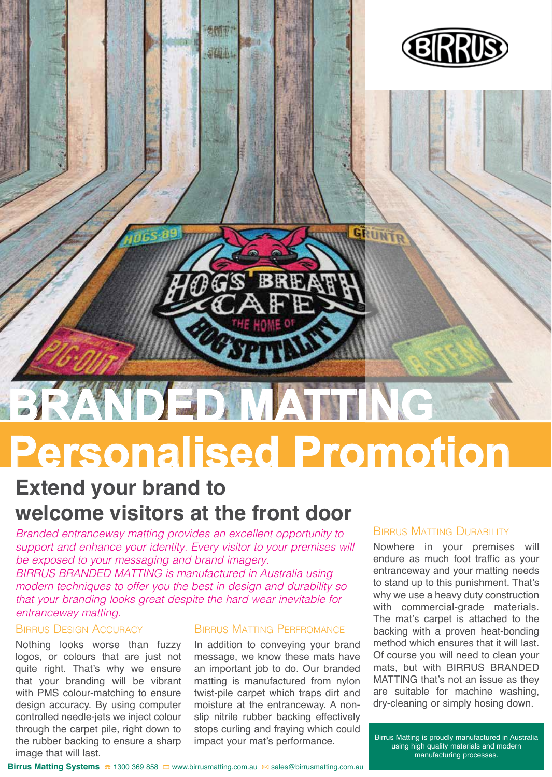

# **Personalised Promotion**

### **Extend your brand to welcome visitors at the front door**

*Branded entranceway matting provides an excellent opportunity to support and enhance your identity. Every visitor to your premises will be exposed to your messaging and brand imagery.* 

*BIRRUS BRANDED MATTING is manufactured in Australia using modern techniques to offer you the best in design and durability so that your branding looks great despite the hard wear inevitable for entranceway matting.* 

#### Birrus Design Accuracy

Nothing looks worse than fuzzy logos, or colours that are just not quite right. That's why we ensure that your branding will be vibrant with PMS colour-matching to ensure design accuracy. By using computer controlled needle-jets we inject colour through the carpet pile, right down to the rubber backing to ensure a sharp image that will last.

#### Birrus Matting Perfromance

In addition to conveying your brand message, we know these mats have an important job to do. Our branded matting is manufactured from nylon twist-pile carpet which traps dirt and moisture at the entranceway. A nonslip nitrile rubber backing effectively stops curling and fraying which could impact your mat's performance.

#### Birrus Matting Durability

Nowhere in your premises will endure as much foot traffic as your entranceway and your matting needs to stand up to this punishment. That's why we use a heavy duty construction with commercial-grade materials. The mat's carpet is attached to the backing with a proven heat-bonding method which ensures that it will last. Of course you will need to clean your mats, but with BIRRUS BRANDED MATTING that's not an issue as they are suitable for machine washing, dry-cleaning or simply hosing down.

Birrus Matting is proudly manufactured in Australia using high quality materials and modern manufacturing processes.